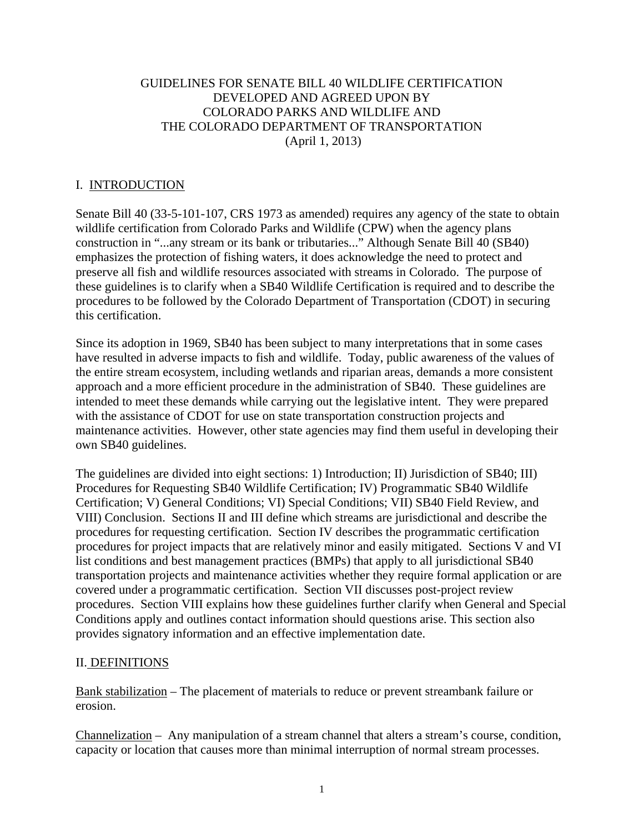### GUIDELINES FOR SENATE BILL 40 WILDLIFE CERTIFICATION DEVELOPED AND AGREED UPON BY COLORADO PARKS AND WILDLIFE AND THE COLORADO DEPARTMENT OF TRANSPORTATION (April 1, 2013)

### I. INTRODUCTION

Senate Bill 40 (33-5-101-107, CRS 1973 as amended) requires any agency of the state to obtain wildlife certification from Colorado Parks and Wildlife (CPW) when the agency plans construction in "...any stream or its bank or tributaries..." Although Senate Bill 40 (SB40) emphasizes the protection of fishing waters, it does acknowledge the need to protect and preserve all fish and wildlife resources associated with streams in Colorado. The purpose of these guidelines is to clarify when a SB40 Wildlife Certification is required and to describe the procedures to be followed by the Colorado Department of Transportation (CDOT) in securing this certification.

Since its adoption in 1969, SB40 has been subject to many interpretations that in some cases have resulted in adverse impacts to fish and wildlife. Today, public awareness of the values of the entire stream ecosystem, including wetlands and riparian areas, demands a more consistent approach and a more efficient procedure in the administration of SB40. These guidelines are intended to meet these demands while carrying out the legislative intent. They were prepared with the assistance of CDOT for use on state transportation construction projects and maintenance activities. However, other state agencies may find them useful in developing their own SB40 guidelines.

The guidelines are divided into eight sections: 1) Introduction; II) Jurisdiction of SB40; III) Procedures for Requesting SB40 Wildlife Certification; IV) Programmatic SB40 Wildlife Certification; V) General Conditions; VI) Special Conditions; VII) SB40 Field Review, and VIII) Conclusion. Sections II and III define which streams are jurisdictional and describe the procedures for requesting certification. Section IV describes the programmatic certification procedures for project impacts that are relatively minor and easily mitigated. Sections V and VI list conditions and best management practices (BMPs) that apply to all jurisdictional SB40 transportation projects and maintenance activities whether they require formal application or are covered under a programmatic certification. Section VII discusses post-project review procedures. Section VIII explains how these guidelines further clarify when General and Special Conditions apply and outlines contact information should questions arise. This section also provides signatory information and an effective implementation date.

## II. DEFINITIONS

Bank stabilization – The placement of materials to reduce or prevent streambank failure or erosion.

Channelization – Any manipulation of a stream channel that alters a stream's course, condition, capacity or location that causes more than minimal interruption of normal stream processes.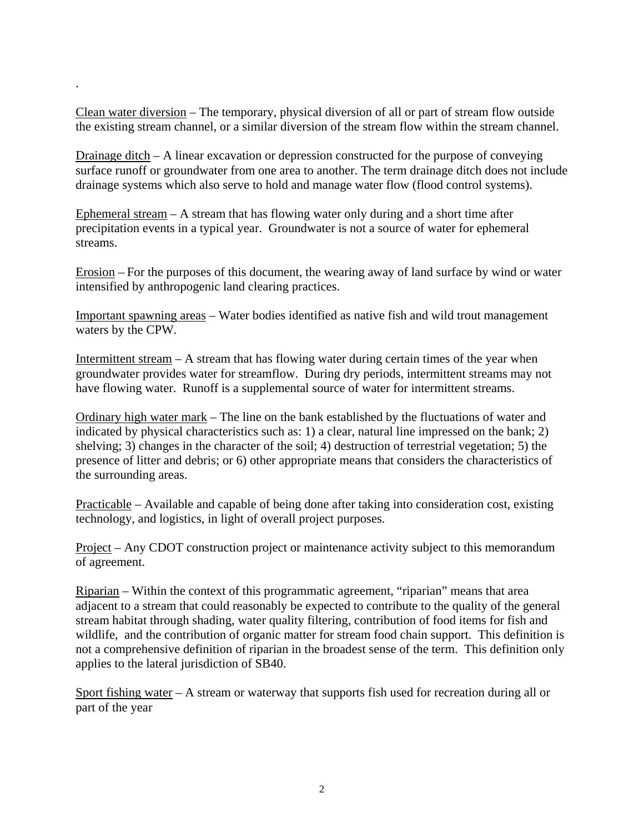Clean water diversion – The temporary, physical diversion of all or part of stream flow outside the existing stream channel, or a similar diversion of the stream flow within the stream channel.

.

Drainage ditch – A linear excavation or depression constructed for the purpose of conveying surface runoff or groundwater from one area to another. The term drainage ditch does not include drainage systems which also serve to hold and manage water flow (flood control systems).

Ephemeral stream – A stream that has flowing water only during and a short time after precipitation events in a typical year. Groundwater is not a source of water for ephemeral streams.

Erosion – For the purposes of this document, the wearing away of land surface by wind or water intensified by anthropogenic land clearing practices.

Important spawning areas – Water bodies identified as native fish and wild trout management waters by the CPW.

Intermittent stream – A stream that has flowing water during certain times of the year when groundwater provides water for streamflow. During dry periods, intermittent streams may not have flowing water. Runoff is a supplemental source of water for intermittent streams.

Ordinary high water mark – The line on the bank established by the fluctuations of water and indicated by physical characteristics such as: 1) a clear, natural line impressed on the bank; 2) shelving; 3) changes in the character of the soil; 4) destruction of terrestrial vegetation; 5) the presence of litter and debris; or 6) other appropriate means that considers the characteristics of the surrounding areas.

Practicable – Available and capable of being done after taking into consideration cost, existing technology, and logistics, in light of overall project purposes.

Project – Any CDOT construction project or maintenance activity subject to this memorandum of agreement.

Riparian – Within the context of this programmatic agreement, "riparian" means that area adjacent to a stream that could reasonably be expected to contribute to the quality of the general stream habitat through shading, water quality filtering, contribution of food items for fish and wildlife, and the contribution of organic matter for stream food chain support. This definition is not a comprehensive definition of riparian in the broadest sense of the term. This definition only applies to the lateral jurisdiction of SB40.

Sport fishing water – A stream or waterway that supports fish used for recreation during all or part of the year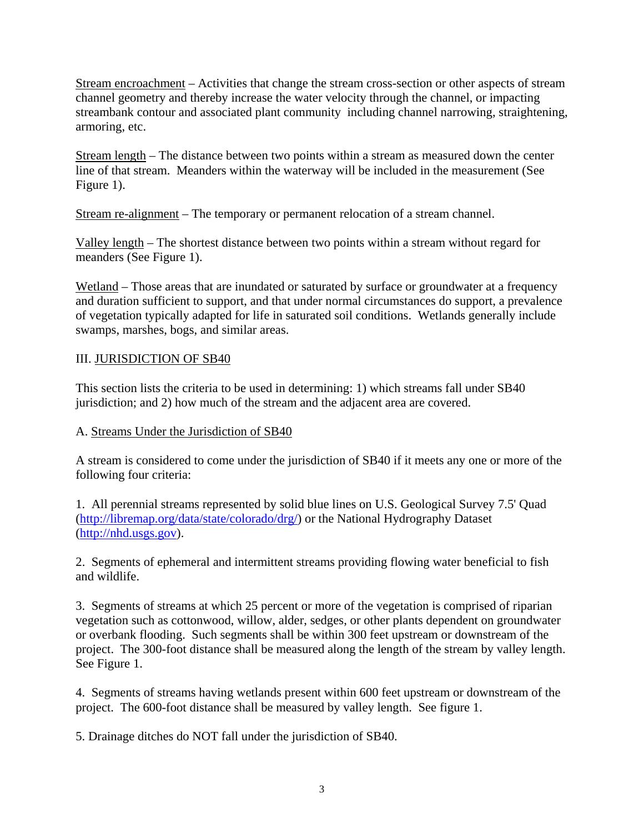Stream encroachment – Activities that change the stream cross-section or other aspects of stream channel geometry and thereby increase the water velocity through the channel, or impacting streambank contour and associated plant community including channel narrowing, straightening, armoring, etc.

Stream length – The distance between two points within a stream as measured down the center line of that stream. Meanders within the waterway will be included in the measurement (See Figure 1).

Stream re-alignment – The temporary or permanent relocation of a stream channel.

Valley length – The shortest distance between two points within a stream without regard for meanders (See Figure 1).

Wetland – Those areas that are inundated or saturated by surface or groundwater at a frequency and duration sufficient to support, and that under normal circumstances do support, a prevalence of vegetation typically adapted for life in saturated soil conditions. Wetlands generally include swamps, marshes, bogs, and similar areas.

## III. JURISDICTION OF SB40

This section lists the criteria to be used in determining: 1) which streams fall under SB40 jurisdiction; and 2) how much of the stream and the adjacent area are covered.

## A. Streams Under the Jurisdiction of SB40

A stream is considered to come under the jurisdiction of SB40 if it meets any one or more of the following four criteria:

1. All perennial streams represented by solid blue lines on U.S. Geological Survey 7.5' Quad (http://libremap.org/data/state/colorado/drg/) or the National Hydrography Dataset (http://nhd.usgs.gov).

2. Segments of ephemeral and intermittent streams providing flowing water beneficial to fish and wildlife.

3. Segments of streams at which 25 percent or more of the vegetation is comprised of riparian vegetation such as cottonwood, willow, alder, sedges, or other plants dependent on groundwater or overbank flooding. Such segments shall be within 300 feet upstream or downstream of the project. The 300-foot distance shall be measured along the length of the stream by valley length. See Figure 1.

4. Segments of streams having wetlands present within 600 feet upstream or downstream of the project. The 600-foot distance shall be measured by valley length. See figure 1.

5. Drainage ditches do NOT fall under the jurisdiction of SB40.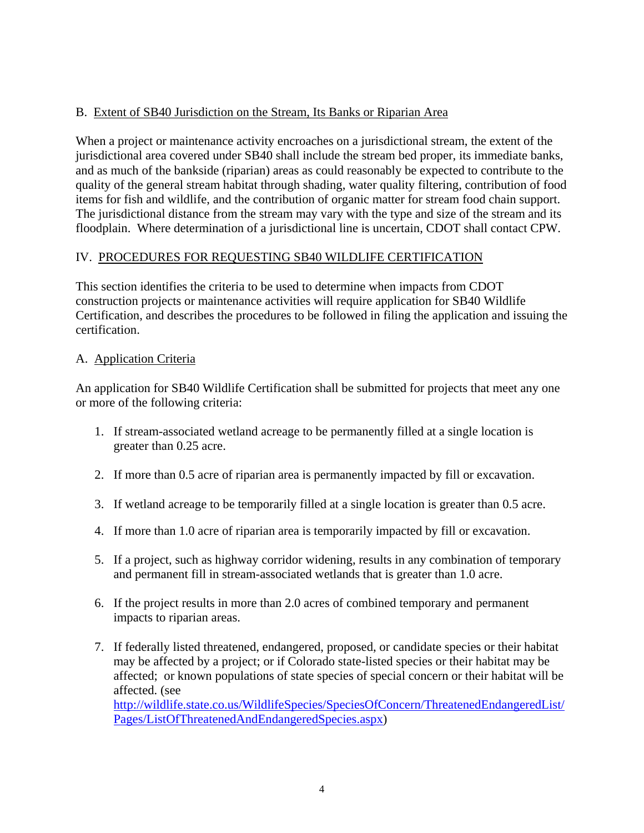# B. Extent of SB40 Jurisdiction on the Stream, Its Banks or Riparian Area

When a project or maintenance activity encroaches on a jurisdictional stream, the extent of the jurisdictional area covered under SB40 shall include the stream bed proper, its immediate banks, and as much of the bankside (riparian) areas as could reasonably be expected to contribute to the quality of the general stream habitat through shading, water quality filtering, contribution of food items for fish and wildlife, and the contribution of organic matter for stream food chain support. The jurisdictional distance from the stream may vary with the type and size of the stream and its floodplain. Where determination of a jurisdictional line is uncertain, CDOT shall contact CPW.

## IV. PROCEDURES FOR REQUESTING SB40 WILDLIFE CERTIFICATION

This section identifies the criteria to be used to determine when impacts from CDOT construction projects or maintenance activities will require application for SB40 Wildlife Certification, and describes the procedures to be followed in filing the application and issuing the certification.

### A. Application Criteria

An application for SB40 Wildlife Certification shall be submitted for projects that meet any one or more of the following criteria:

- 1. If stream-associated wetland acreage to be permanently filled at a single location is greater than 0.25 acre.
- 2. If more than 0.5 acre of riparian area is permanently impacted by fill or excavation.
- 3. If wetland acreage to be temporarily filled at a single location is greater than 0.5 acre.
- 4. If more than 1.0 acre of riparian area is temporarily impacted by fill or excavation.
- 5. If a project, such as highway corridor widening, results in any combination of temporary and permanent fill in stream-associated wetlands that is greater than 1.0 acre.
- 6. If the project results in more than 2.0 acres of combined temporary and permanent impacts to riparian areas.
- 7. If federally listed threatened, endangered, proposed, or candidate species or their habitat may be affected by a project; or if Colorado state-listed species or their habitat may be affected; or known populations of state species of special concern or their habitat will be affected. (see http://wildlife.state.co.us/WildlifeSpecies/SpeciesOfConcern/ThreatenedEndangeredList/ Pages/ListOfThreatenedAndEndangeredSpecies.aspx)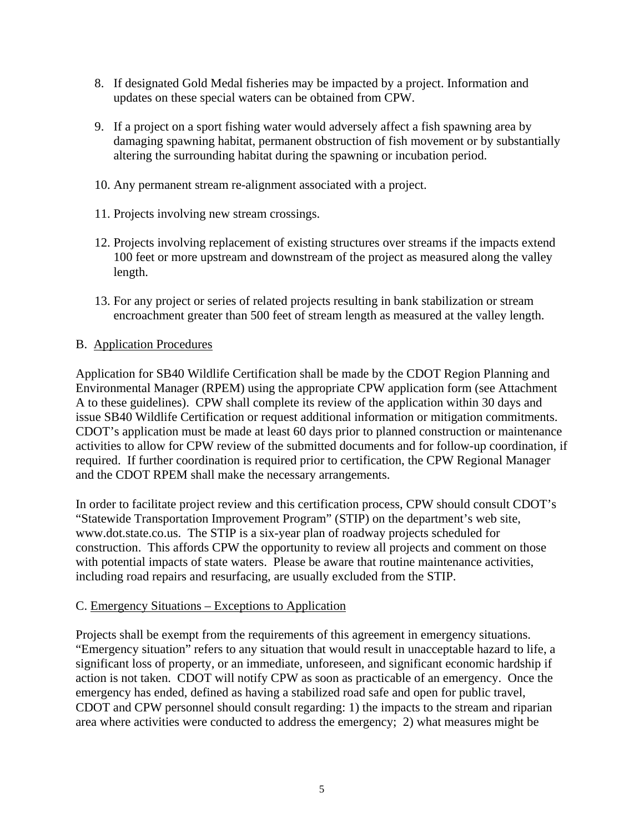- 8. If designated Gold Medal fisheries may be impacted by a project. Information and updates on these special waters can be obtained from CPW.
- 9. If a project on a sport fishing water would adversely affect a fish spawning area by damaging spawning habitat, permanent obstruction of fish movement or by substantially altering the surrounding habitat during the spawning or incubation period.
- 10. Any permanent stream re-alignment associated with a project.
- 11. Projects involving new stream crossings.
- 12. Projects involving replacement of existing structures over streams if the impacts extend 100 feet or more upstream and downstream of the project as measured along the valley length.
- 13. For any project or series of related projects resulting in bank stabilization or stream encroachment greater than 500 feet of stream length as measured at the valley length.

### B. Application Procedures

Application for SB40 Wildlife Certification shall be made by the CDOT Region Planning and Environmental Manager (RPEM) using the appropriate CPW application form (see Attachment A to these guidelines). CPW shall complete its review of the application within 30 days and issue SB40 Wildlife Certification or request additional information or mitigation commitments. CDOT's application must be made at least 60 days prior to planned construction or maintenance activities to allow for CPW review of the submitted documents and for follow-up coordination, if required. If further coordination is required prior to certification, the CPW Regional Manager and the CDOT RPEM shall make the necessary arrangements.

In order to facilitate project review and this certification process, CPW should consult CDOT's "Statewide Transportation Improvement Program" (STIP) on the department's web site, www.dot.state.co.us. The STIP is a six-year plan of roadway projects scheduled for construction. This affords CPW the opportunity to review all projects and comment on those with potential impacts of state waters. Please be aware that routine maintenance activities, including road repairs and resurfacing, are usually excluded from the STIP.

#### C. Emergency Situations – Exceptions to Application

Projects shall be exempt from the requirements of this agreement in emergency situations. "Emergency situation" refers to any situation that would result in unacceptable hazard to life, a significant loss of property, or an immediate, unforeseen, and significant economic hardship if action is not taken. CDOT will notify CPW as soon as practicable of an emergency. Once the emergency has ended, defined as having a stabilized road safe and open for public travel, CDOT and CPW personnel should consult regarding: 1) the impacts to the stream and riparian area where activities were conducted to address the emergency; 2) what measures might be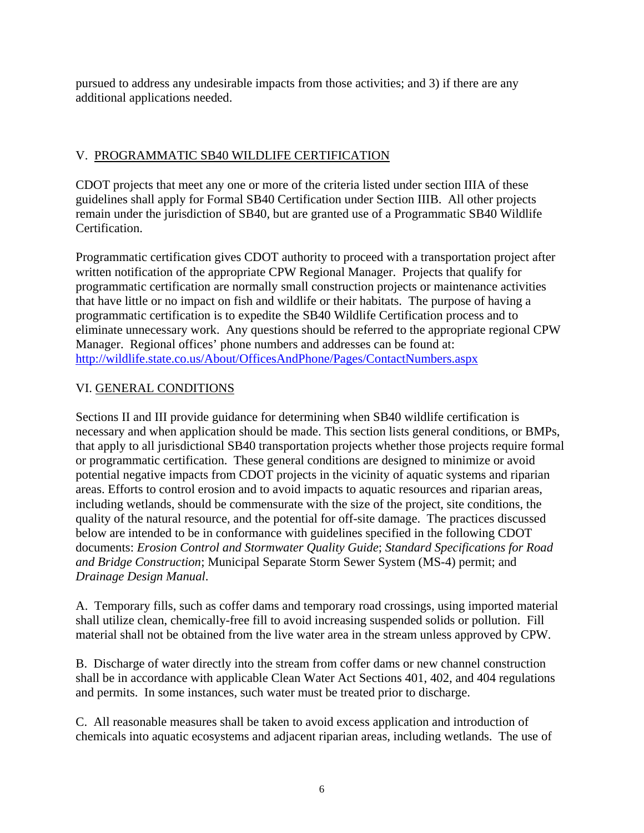pursued to address any undesirable impacts from those activities; and 3) if there are any additional applications needed.

# V. PROGRAMMATIC SB40 WILDLIFE CERTIFICATION

CDOT projects that meet any one or more of the criteria listed under section IIIA of these guidelines shall apply for Formal SB40 Certification under Section IIIB. All other projects remain under the jurisdiction of SB40, but are granted use of a Programmatic SB40 Wildlife Certification.

Programmatic certification gives CDOT authority to proceed with a transportation project after written notification of the appropriate CPW Regional Manager. Projects that qualify for programmatic certification are normally small construction projects or maintenance activities that have little or no impact on fish and wildlife or their habitats. The purpose of having a programmatic certification is to expedite the SB40 Wildlife Certification process and to eliminate unnecessary work. Any questions should be referred to the appropriate regional CPW Manager. Regional offices' phone numbers and addresses can be found at: http://wildlife.state.co.us/About/OfficesAndPhone/Pages/ContactNumbers.aspx

# VI. GENERAL CONDITIONS

Sections II and III provide guidance for determining when SB40 wildlife certification is necessary and when application should be made. This section lists general conditions, or BMPs, that apply to all jurisdictional SB40 transportation projects whether those projects require formal or programmatic certification. These general conditions are designed to minimize or avoid potential negative impacts from CDOT projects in the vicinity of aquatic systems and riparian areas. Efforts to control erosion and to avoid impacts to aquatic resources and riparian areas, including wetlands, should be commensurate with the size of the project, site conditions, the quality of the natural resource, and the potential for off-site damage. The practices discussed below are intended to be in conformance with guidelines specified in the following CDOT documents: *Erosion Control and Stormwater Quality Guide*; *Standard Specifications for Road and Bridge Construction*; Municipal Separate Storm Sewer System (MS-4) permit; and *Drainage Design Manual*.

A. Temporary fills, such as coffer dams and temporary road crossings, using imported material shall utilize clean, chemically-free fill to avoid increasing suspended solids or pollution. Fill material shall not be obtained from the live water area in the stream unless approved by CPW.

B. Discharge of water directly into the stream from coffer dams or new channel construction shall be in accordance with applicable Clean Water Act Sections 401, 402, and 404 regulations and permits. In some instances, such water must be treated prior to discharge.

C. All reasonable measures shall be taken to avoid excess application and introduction of chemicals into aquatic ecosystems and adjacent riparian areas, including wetlands. The use of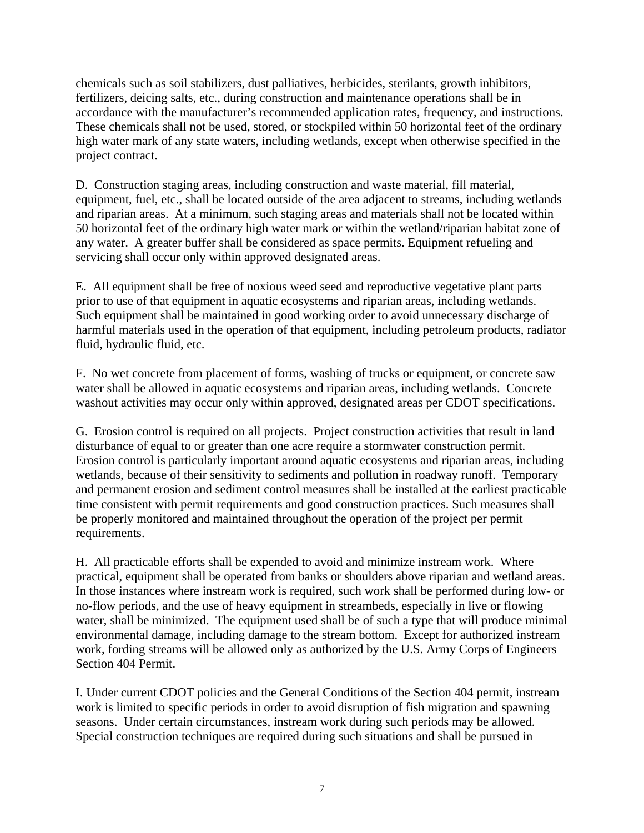chemicals such as soil stabilizers, dust palliatives, herbicides, sterilants, growth inhibitors, fertilizers, deicing salts, etc., during construction and maintenance operations shall be in accordance with the manufacturer's recommended application rates, frequency, and instructions. These chemicals shall not be used, stored, or stockpiled within 50 horizontal feet of the ordinary high water mark of any state waters, including wetlands, except when otherwise specified in the project contract.

D. Construction staging areas, including construction and waste material, fill material, equipment, fuel, etc., shall be located outside of the area adjacent to streams, including wetlands and riparian areas. At a minimum, such staging areas and materials shall not be located within 50 horizontal feet of the ordinary high water mark or within the wetland/riparian habitat zone of any water. A greater buffer shall be considered as space permits. Equipment refueling and servicing shall occur only within approved designated areas.

E. All equipment shall be free of noxious weed seed and reproductive vegetative plant parts prior to use of that equipment in aquatic ecosystems and riparian areas, including wetlands. Such equipment shall be maintained in good working order to avoid unnecessary discharge of harmful materials used in the operation of that equipment, including petroleum products, radiator fluid, hydraulic fluid, etc.

F. No wet concrete from placement of forms, washing of trucks or equipment, or concrete saw water shall be allowed in aquatic ecosystems and riparian areas, including wetlands. Concrete washout activities may occur only within approved, designated areas per CDOT specifications.

G. Erosion control is required on all projects. Project construction activities that result in land disturbance of equal to or greater than one acre require a stormwater construction permit. Erosion control is particularly important around aquatic ecosystems and riparian areas, including wetlands, because of their sensitivity to sediments and pollution in roadway runoff. Temporary and permanent erosion and sediment control measures shall be installed at the earliest practicable time consistent with permit requirements and good construction practices. Such measures shall be properly monitored and maintained throughout the operation of the project per permit requirements.

H. All practicable efforts shall be expended to avoid and minimize instream work. Where practical, equipment shall be operated from banks or shoulders above riparian and wetland areas. In those instances where instream work is required, such work shall be performed during low- or no-flow periods, and the use of heavy equipment in streambeds, especially in live or flowing water, shall be minimized. The equipment used shall be of such a type that will produce minimal environmental damage, including damage to the stream bottom. Except for authorized instream work, fording streams will be allowed only as authorized by the U.S. Army Corps of Engineers Section 404 Permit.

I. Under current CDOT policies and the General Conditions of the Section 404 permit, instream work is limited to specific periods in order to avoid disruption of fish migration and spawning seasons. Under certain circumstances, instream work during such periods may be allowed. Special construction techniques are required during such situations and shall be pursued in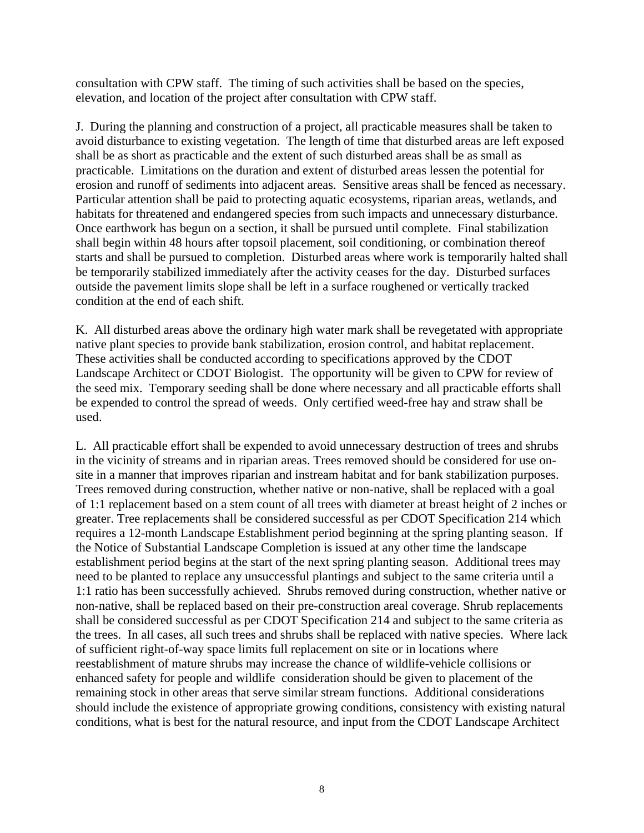consultation with CPW staff. The timing of such activities shall be based on the species, elevation, and location of the project after consultation with CPW staff.

J. During the planning and construction of a project, all practicable measures shall be taken to avoid disturbance to existing vegetation. The length of time that disturbed areas are left exposed shall be as short as practicable and the extent of such disturbed areas shall be as small as practicable. Limitations on the duration and extent of disturbed areas lessen the potential for erosion and runoff of sediments into adjacent areas. Sensitive areas shall be fenced as necessary. Particular attention shall be paid to protecting aquatic ecosystems, riparian areas, wetlands, and habitats for threatened and endangered species from such impacts and unnecessary disturbance. Once earthwork has begun on a section, it shall be pursued until complete. Final stabilization shall begin within 48 hours after topsoil placement, soil conditioning, or combination thereof starts and shall be pursued to completion. Disturbed areas where work is temporarily halted shall be temporarily stabilized immediately after the activity ceases for the day. Disturbed surfaces outside the pavement limits slope shall be left in a surface roughened or vertically tracked condition at the end of each shift.

K. All disturbed areas above the ordinary high water mark shall be revegetated with appropriate native plant species to provide bank stabilization, erosion control, and habitat replacement. These activities shall be conducted according to specifications approved by the CDOT Landscape Architect or CDOT Biologist. The opportunity will be given to CPW for review of the seed mix. Temporary seeding shall be done where necessary and all practicable efforts shall be expended to control the spread of weeds. Only certified weed-free hay and straw shall be used.

L. All practicable effort shall be expended to avoid unnecessary destruction of trees and shrubs in the vicinity of streams and in riparian areas. Trees removed should be considered for use onsite in a manner that improves riparian and instream habitat and for bank stabilization purposes. Trees removed during construction, whether native or non-native, shall be replaced with a goal of 1:1 replacement based on a stem count of all trees with diameter at breast height of 2 inches or greater. Tree replacements shall be considered successful as per CDOT Specification 214 which requires a 12-month Landscape Establishment period beginning at the spring planting season. If the Notice of Substantial Landscape Completion is issued at any other time the landscape establishment period begins at the start of the next spring planting season. Additional trees may need to be planted to replace any unsuccessful plantings and subject to the same criteria until a 1:1 ratio has been successfully achieved. Shrubs removed during construction, whether native or non-native, shall be replaced based on their pre-construction areal coverage. Shrub replacements shall be considered successful as per CDOT Specification 214 and subject to the same criteria as the trees. In all cases, all such trees and shrubs shall be replaced with native species. Where lack of sufficient right-of-way space limits full replacement on site or in locations where reestablishment of mature shrubs may increase the chance of wildlife-vehicle collisions or enhanced safety for people and wildlife consideration should be given to placement of the remaining stock in other areas that serve similar stream functions. Additional considerations should include the existence of appropriate growing conditions, consistency with existing natural conditions, what is best for the natural resource, and input from the CDOT Landscape Architect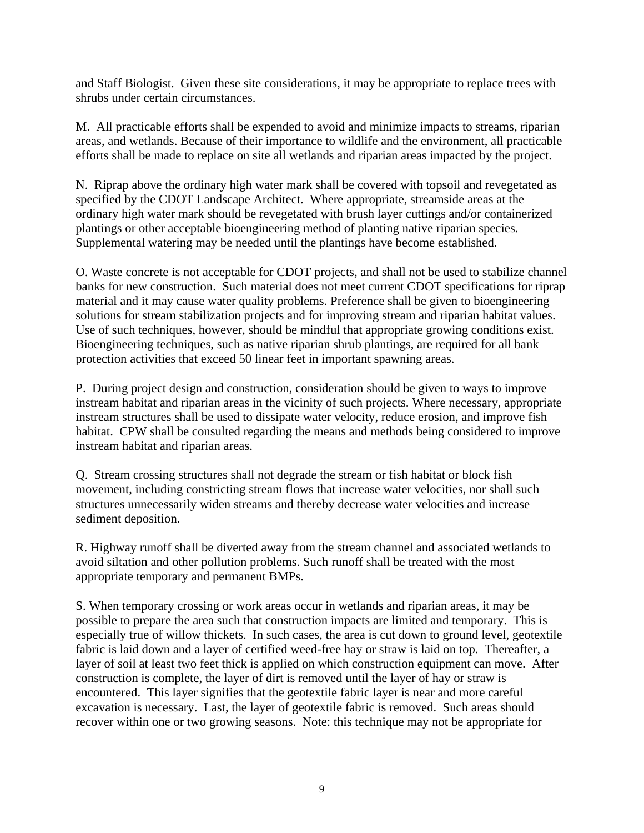and Staff Biologist. Given these site considerations, it may be appropriate to replace trees with shrubs under certain circumstances.

M. All practicable efforts shall be expended to avoid and minimize impacts to streams, riparian areas, and wetlands. Because of their importance to wildlife and the environment, all practicable efforts shall be made to replace on site all wetlands and riparian areas impacted by the project.

N. Riprap above the ordinary high water mark shall be covered with topsoil and revegetated as specified by the CDOT Landscape Architect. Where appropriate, streamside areas at the ordinary high water mark should be revegetated with brush layer cuttings and/or containerized plantings or other acceptable bioengineering method of planting native riparian species. Supplemental watering may be needed until the plantings have become established.

O. Waste concrete is not acceptable for CDOT projects, and shall not be used to stabilize channel banks for new construction. Such material does not meet current CDOT specifications for riprap material and it may cause water quality problems. Preference shall be given to bioengineering solutions for stream stabilization projects and for improving stream and riparian habitat values. Use of such techniques, however, should be mindful that appropriate growing conditions exist. Bioengineering techniques, such as native riparian shrub plantings, are required for all bank protection activities that exceed 50 linear feet in important spawning areas.

P. During project design and construction, consideration should be given to ways to improve instream habitat and riparian areas in the vicinity of such projects. Where necessary, appropriate instream structures shall be used to dissipate water velocity, reduce erosion, and improve fish habitat. CPW shall be consulted regarding the means and methods being considered to improve instream habitat and riparian areas.

Q. Stream crossing structures shall not degrade the stream or fish habitat or block fish movement, including constricting stream flows that increase water velocities, nor shall such structures unnecessarily widen streams and thereby decrease water velocities and increase sediment deposition.

R. Highway runoff shall be diverted away from the stream channel and associated wetlands to avoid siltation and other pollution problems. Such runoff shall be treated with the most appropriate temporary and permanent BMPs.

S. When temporary crossing or work areas occur in wetlands and riparian areas, it may be possible to prepare the area such that construction impacts are limited and temporary. This is especially true of willow thickets. In such cases, the area is cut down to ground level, geotextile fabric is laid down and a layer of certified weed-free hay or straw is laid on top. Thereafter, a layer of soil at least two feet thick is applied on which construction equipment can move. After construction is complete, the layer of dirt is removed until the layer of hay or straw is encountered. This layer signifies that the geotextile fabric layer is near and more careful excavation is necessary. Last, the layer of geotextile fabric is removed. Such areas should recover within one or two growing seasons. Note: this technique may not be appropriate for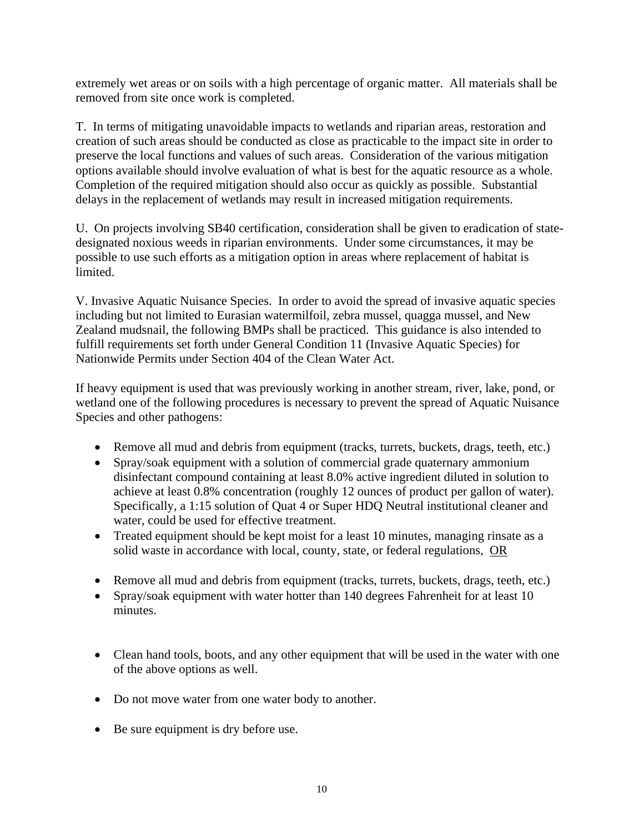extremely wet areas or on soils with a high percentage of organic matter. All materials shall be removed from site once work is completed.

T. In terms of mitigating unavoidable impacts to wetlands and riparian areas, restoration and creation of such areas should be conducted as close as practicable to the impact site in order to preserve the local functions and values of such areas. Consideration of the various mitigation options available should involve evaluation of what is best for the aquatic resource as a whole. Completion of the required mitigation should also occur as quickly as possible. Substantial delays in the replacement of wetlands may result in increased mitigation requirements.

U. On projects involving SB40 certification, consideration shall be given to eradication of statedesignated noxious weeds in riparian environments. Under some circumstances, it may be possible to use such efforts as a mitigation option in areas where replacement of habitat is limited.

V. Invasive Aquatic Nuisance Species. In order to avoid the spread of invasive aquatic species including but not limited to Eurasian watermilfoil, zebra mussel, quagga mussel, and New Zealand mudsnail, the following BMPs shall be practiced. This guidance is also intended to fulfill requirements set forth under General Condition 11 (Invasive Aquatic Species) for Nationwide Permits under Section 404 of the Clean Water Act.

If heavy equipment is used that was previously working in another stream, river, lake, pond, or wetland one of the following procedures is necessary to prevent the spread of Aquatic Nuisance Species and other pathogens:

- Remove all mud and debris from equipment (tracks, turrets, buckets, drags, teeth, etc.)
- Spray/soak equipment with a solution of commercial grade quaternary ammonium disinfectant compound containing at least 8.0% active ingredient diluted in solution to achieve at least 0.8% concentration (roughly 12 ounces of product per gallon of water). Specifically, a 1:15 solution of Quat 4 or Super HDQ Neutral institutional cleaner and water, could be used for effective treatment.
- Treated equipment should be kept moist for a least 10 minutes, managing rinsate as a solid waste in accordance with local, county, state, or federal regulations, OR
- Remove all mud and debris from equipment (tracks, turrets, buckets, drags, teeth, etc.)
- Spray/soak equipment with water hotter than 140 degrees Fahrenheit for at least 10 minutes.
- Clean hand tools, boots, and any other equipment that will be used in the water with one of the above options as well.
- Do not move water from one water body to another.
- Be sure equipment is dry before use.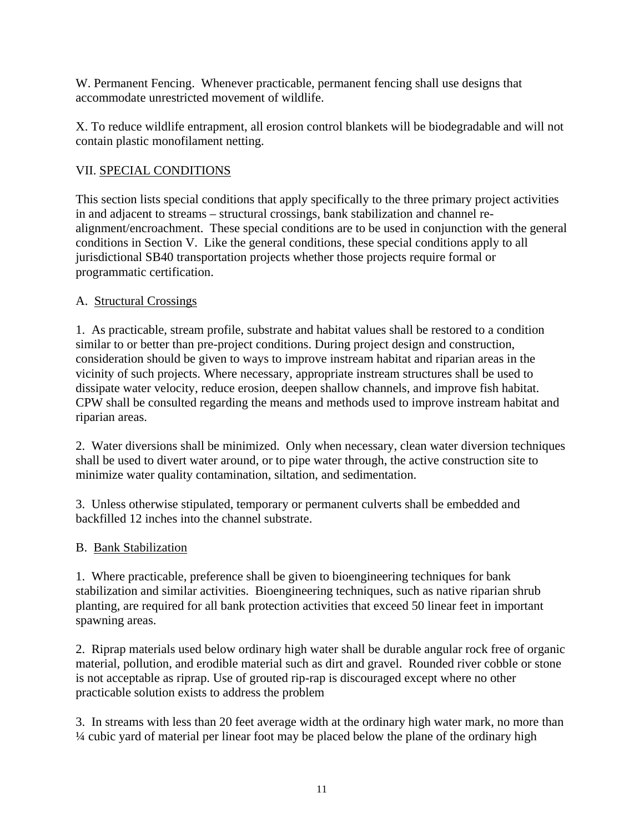W. Permanent Fencing. Whenever practicable, permanent fencing shall use designs that accommodate unrestricted movement of wildlife.

X. To reduce wildlife entrapment, all erosion control blankets will be biodegradable and will not contain plastic monofilament netting.

## VII. SPECIAL CONDITIONS

This section lists special conditions that apply specifically to the three primary project activities in and adjacent to streams – structural crossings, bank stabilization and channel realignment/encroachment. These special conditions are to be used in conjunction with the general conditions in Section V. Like the general conditions, these special conditions apply to all jurisdictional SB40 transportation projects whether those projects require formal or programmatic certification.

# A. Structural Crossings

1. As practicable, stream profile, substrate and habitat values shall be restored to a condition similar to or better than pre-project conditions. During project design and construction, consideration should be given to ways to improve instream habitat and riparian areas in the vicinity of such projects. Where necessary, appropriate instream structures shall be used to dissipate water velocity, reduce erosion, deepen shallow channels, and improve fish habitat. CPW shall be consulted regarding the means and methods used to improve instream habitat and riparian areas.

2. Water diversions shall be minimized. Only when necessary, clean water diversion techniques shall be used to divert water around, or to pipe water through, the active construction site to minimize water quality contamination, siltation, and sedimentation.

3. Unless otherwise stipulated, temporary or permanent culverts shall be embedded and backfilled 12 inches into the channel substrate.

## B. Bank Stabilization

1. Where practicable, preference shall be given to bioengineering techniques for bank stabilization and similar activities. Bioengineering techniques, such as native riparian shrub planting, are required for all bank protection activities that exceed 50 linear feet in important spawning areas.

2. Riprap materials used below ordinary high water shall be durable angular rock free of organic material, pollution, and erodible material such as dirt and gravel. Rounded river cobble or stone is not acceptable as riprap. Use of grouted rip-rap is discouraged except where no other practicable solution exists to address the problem

3. In streams with less than 20 feet average width at the ordinary high water mark, no more than ¼ cubic yard of material per linear foot may be placed below the plane of the ordinary high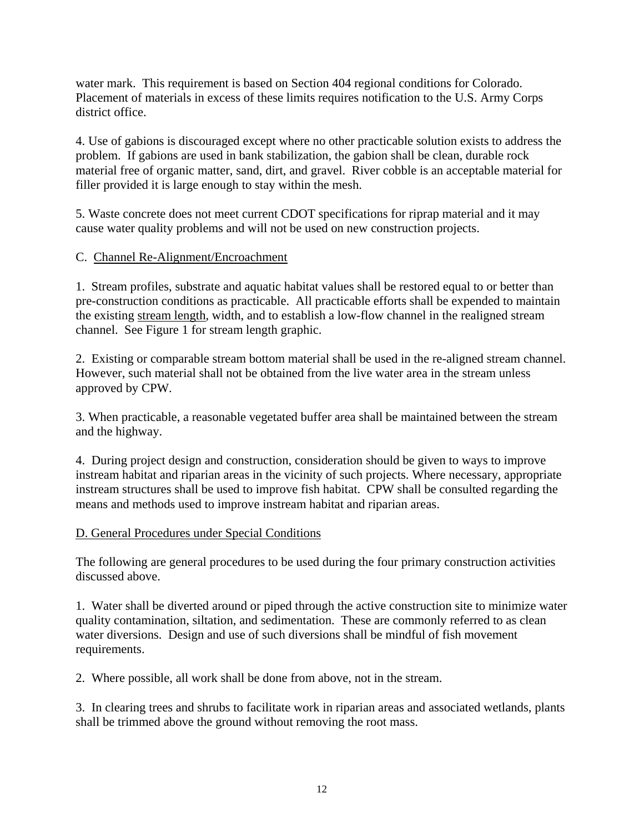water mark. This requirement is based on Section 404 regional conditions for Colorado. Placement of materials in excess of these limits requires notification to the U.S. Army Corps district office.

4. Use of gabions is discouraged except where no other practicable solution exists to address the problem. If gabions are used in bank stabilization, the gabion shall be clean, durable rock material free of organic matter, sand, dirt, and gravel. River cobble is an acceptable material for filler provided it is large enough to stay within the mesh.

5. Waste concrete does not meet current CDOT specifications for riprap material and it may cause water quality problems and will not be used on new construction projects.

## C. Channel Re-Alignment/Encroachment

1. Stream profiles, substrate and aquatic habitat values shall be restored equal to or better than pre-construction conditions as practicable. All practicable efforts shall be expended to maintain the existing stream length, width, and to establish a low-flow channel in the realigned stream channel. See Figure 1 for stream length graphic.

2. Existing or comparable stream bottom material shall be used in the re-aligned stream channel. However, such material shall not be obtained from the live water area in the stream unless approved by CPW.

3. When practicable, a reasonable vegetated buffer area shall be maintained between the stream and the highway.

4. During project design and construction, consideration should be given to ways to improve instream habitat and riparian areas in the vicinity of such projects. Where necessary, appropriate instream structures shall be used to improve fish habitat. CPW shall be consulted regarding the means and methods used to improve instream habitat and riparian areas.

## D. General Procedures under Special Conditions

The following are general procedures to be used during the four primary construction activities discussed above.

1. Water shall be diverted around or piped through the active construction site to minimize water quality contamination, siltation, and sedimentation. These are commonly referred to as clean water diversions. Design and use of such diversions shall be mindful of fish movement requirements.

2. Where possible, all work shall be done from above, not in the stream.

3. In clearing trees and shrubs to facilitate work in riparian areas and associated wetlands, plants shall be trimmed above the ground without removing the root mass.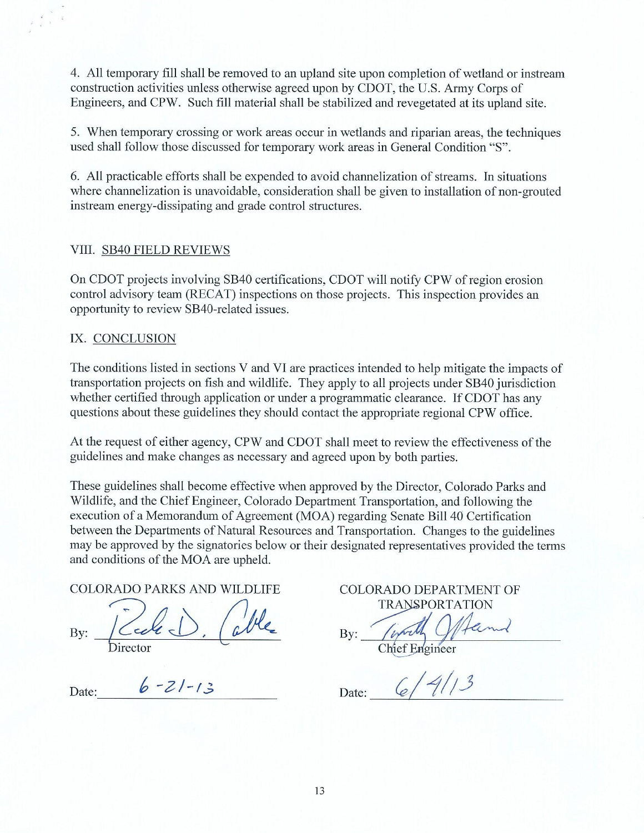4. All temporary fill shall be removed to an upland site upon completion of wetland or instream construction activities unless otherwise agreed upon by CDOT, the U.S. Army Corps of Engineers, and CPW. Such fill material shall be stabilized and revegetated at its upland site.

5. When temporary crossing or work areas occur in wetlands and riparian areas, the techniques used shall follow those discussed for temporary work areas in General Condition "S".

6. All practicable efforts shall be expended to avoid channelization of streams. In situations where channelization is unavoidable, consideration shall be given to installation of non-grouted instream energy-dissipating and grade control structures.

### VIII. SB40 FIELD REVIEWS

On CDOT projects involving SB40 certifications, CDOT will notify CPW of region erosion control advisory team (RECAT) inspections on those projects. This inspection provides an opportunity to review SB40-related issues.

### IX. CONCLUSION

The conditions listed in sections V and VI are practices intended to help mitigate the impacts of transportation projects on fish and wildlife. They apply to all projects under SB40 jurisdiction whether certified through application or under a programmatic clearance. If CDOT has any questions about these guidelines they should contact the appropriate regional CPW office.

At the request of either agency, CPW and CDOT shall meet to review the effectiveness of the guidelines and make changes as necessary and agreed upon by both parties.

These guidelines shall become effective when approved by the Director, Colorado Parks and Wildlife, and the Chief Engineer, Colorado Department Transportation, and following the execution of a Memorandum of Agreement (MOA) regarding Senate Bill 40 Certification between the Departments of Natural Resources and Transportation. Changes to the guidelines may be approved by the signatories below or their designated representatives provided the terms and conditions of the MOA are upheld.

### **COLORADO PARKS AND WILDLIFE**

By:

Date:  $6 - 21 - 13$ 

COLORADO DEPARTMENT OF **TRANSPORTATION** 

 $Bv:$ 

Chief Engineer

 $6/41/3$ Date: